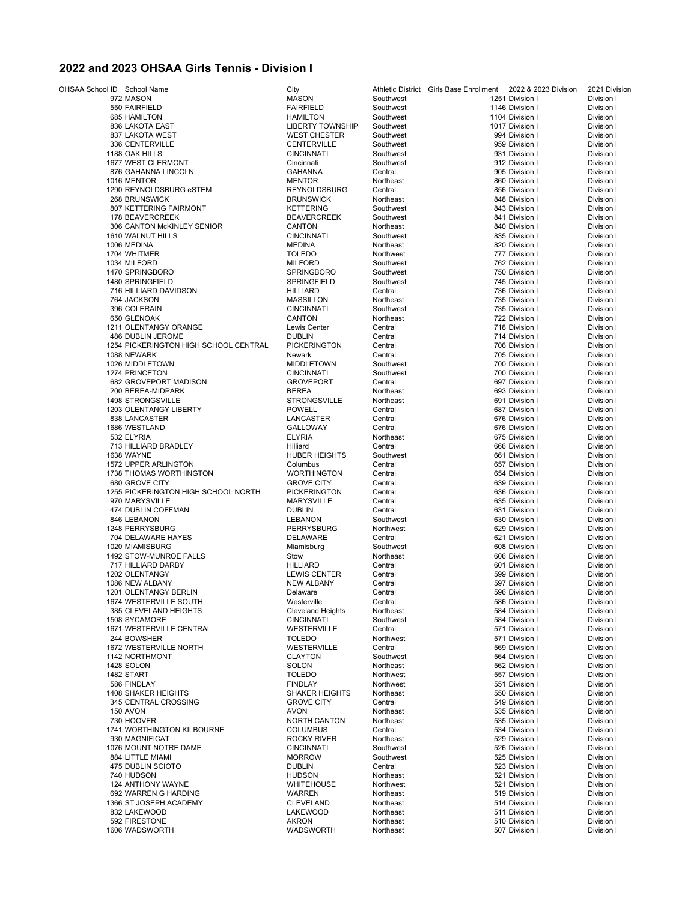## **2022 and 2023 OHSAA Girls Tennis - Division I**

OHSAA School ID School Name City City City Athletic District Girls Base Enrollment 2022 & 2023 Division 2021 Division 2021 Division 1<br>Pivision I Division 1 Division 1 Division 1 Division 1 Division 1 972 MASON MASON Southwest 1251 Division I Division I 550 FAIRFIELD FAIRFIELD Southwest 1146 Division I Division I 685 HAMILTON HAMILTON Southwest 1104 Division I Division I 836 LAKOTA EAST LIBERTY TOWNSHIP Southwest 1017 Division I Division I 837 LAKOTA WEST WEST CHESTER Southwest 994 Division I Division I 336 CENTERVILLE 1188 OAK HILLS CINCINNATI Southwest 931 Division I Division I 1677 WEST CLERMONT Cincinnati Southwest 912 Division I Division I 876 GAHANNA LINCOLN GAHANNA Central 905 Division I Division I 1016 MENTOR MENTOR Northeast 860 Division I Division I 1290 REYNOLDSBURG eSTEM **REYNOLDSBURG** Central Central 856 Division I Division I Division I<br>1998 BRUNSWICK Division I Division I Division I Division I 268 BRUNSWICK BRUNSWICK Northeast 848 Division I Division I er and the Southwest Southwest Southwest (San Bivision I Division I Division I Division I Division I Division I<br>178 BEAVERCREEK (Southwest Southwest Southwest 178 BEAVERCREEK (Southwest 178 BEAVERCREEK I Division I 178 BEAVERCREEK BEAVERCREEK Southwest 841 Division I Division I 306 CANTON McKINLEY SENIOR CANTON Northeast 840 Division I Division I 1610 WALNUT HILLS CINCINNATI Southwest 835 Division I Division I 1006 MEDINA MEDINA Northeast 820 Division I Division I 1704 WHITMER Northwest 2777 Division I Division I Division I Division I 1034 MILFORD MILFORD Southwest 762 Division I Division I 1470 SPRINGBORO SPRINGBORO Southwest 750 Division I Division I 1480 SPRINGFIELD SPRINGFIELD Southwest 745 Division I Division I 716 HILLIARD DAVIDSON HILLIARD Central 736 Division I Division I 764 JACKSON MASSILLON Northeast 735 Division I Division I 396 COLERAIN CINCINNATI Southwest 735 Division I Division I 650 GLENOAK CANTON Northeast 722 Division I Division I 1211 OLENTANGY ORANGE Lewis Center Central 718 Division I Division I erical DUBLIN Central Central 114 Division I Division I Division I Division I Division I Division I Division I<br>Invision I Division I Division I Division I Division I Division I Division I Division I Division I Division I 1254 PICKERINGTON HIGH SCHOOL CENTRAL PICKERINGTON Central<br>1088 NEWARK Central Picker Reverk Dentral 1088 NEWARK Newark Central 705 Division I Division I 1026 MIDDLETOWN MIDDLETOWN Southwest 700 Division I Division I 1274 PRINCETON CINCINNATI CINCINNATI Southwest 700 Division I Division I Division I<br>1992 GROVEPORT MADISON GROVEPORT Central Central 697 Division I Division I extra GROVEPORT MADISON GROVEPORT Central Central 697 Division I Division I Division I Division I Division I Division I Division I Division I Division I Division I Division I Division I Division I Division I Division I Div 200 BEREA-MIDPARK BEREA Northeast 693 Division I Division I 1498 STRONGSVILLE STRONGSVILLE Northeast 691 Division I Division I 1203 OLENTANGY LIBERTY POWELL Central 687 Division I Division I 838 LANCASTER LANCASTER Central 676 Division I Division I 1686 WESTLAND GALLOWAY Central 676 Division I Division I 532 ELYRIA ELYRIA Northeast 675 Division I Division I 713 HILLIARD BRADLEY Hilliard Central 666 Division I Division I 1638 WAYNE HUBER HEIGHTS Southwest 661 Division I Division I 1572 UPPER ARLINGTON Columbus Central 657 Division I Division I 1738 THOMAS WORTHINGTON 680 GROVE CITY GROVE CITY Central 639 Division I Division I 1255 PICKERINGTON HIGH SCHOOL NORTH PICKERINGTON Central 636 Division I Division I Division I<br>1970 MARYSVILLE Central Central 635 Division I Division I Division I 970 MARYSVILLE MARYSVILLE Central 635 Division I Division I 474 DUBLIN COFFMAN DUBLIN Central 631 Division I Division I 846 LEBANON LEBANON Southwest 630 Division I Division I 1248 PERRYSBURG PERRYSBURG Northwest 629 Division I Division I 704 DELAWARE HAYES 1020 MIAMISBURG Miamishurg Miamisburg Southwest 608 Division I Division I Division I<br>1492 STOW-MUNROE FALLS Stow Stow Northeast 606 Division I Division I 1492 STOW-MUNROE FALLS Stow Northeast 606 Division I Division I 717 HILLIARD DARBY HILLIARD Central 601 Division I Division I 1202 OLENTANGY LEWIS CENTER Central 1086 NEW ALBANY Central 599 Division I Division I Division I Division I Di<br>1999 Division I Division I Division I Division I Division I Division I Division I Division I Division I Divisi 1086 NEW ALBANY NEW ALBANY Central 597 Division I Division I 1201 OLENTANGY BERLIN Delaware Central 596 Division I Division I 1674 WESTERVILLE SOUTH Westerville Central 586 Division I Division I 385 CLEVELAND HEIGHTS Cleveland Heights Northeast 584 Division I Division I 1508 SYCAMORE CINCINNATI Southwest 584 Division I Division I 1671 WESTERVILLE CENTRAL WESTERVILLE Central 571 Division I Division I 244 BOWSHER TOLEDO Northwest 571 Division I Division I 1672 WESTERVILLE NORTH WESTERVILLE Central 569 Division I Division I 1142 NORTHMONT CLAYTON Southwest 564 Division I Division I 1428 SOLON SOLON Northeast 562 Division I Division I 1482 START TOLEDO Northwest 557 Division I Division I 586 FINDLAY FINDLAY Northwest 551 Division I Division I ا 1408 SHAKER HEIGHTS SHAKER HEIGHTS Northeast و 1408 SHAKER HEIGHTS SHAKER HEIGHTS Northeast و 1550 Division I<br>1945 CENTRAL CROSSING SHOWE CITY Central Central 1949 Division I Division I 345 CENTRAL CROSSING GROVE CITY Central 549 Division I Division I 150 AVON AVON Northeast 535 Division I Division I Provide and Division I State of the North CANTON Northeast Control of the S35 Division I Division I Division I<br>The S34 Division I Division I Division I Division I Division I 1741 WORTHINGTON KILBOURNE COLUMBUS Central 534 Division I Division I 930 MAGNIFICAT 1076 MOUNT NOTRE DAME CINCINNATI Southwest 526 Division I Division I 884 LITTLE MIAMI MORROW Southwest 525 Division I Division I 475 DUBLIN SCIOTO DUBLIN Central 523 Division I Division I 740 HUDSON HUDSON Northeast 521 Division I Division I 124 ANTHONY WAYNE WHITEHOUSE Northwest 521 Division I Division I ender State (State of the Marken Mortheast 1992 WARREN 1992 WARREN 1992 WARREN 1992 WARREN 1992 WARREN 1992 WA<br>1992 STANDING 1993 STATE STATE STATE STATE STATE IN DIVISION I Division I Division I 1366 ST JOSEPH ACADEMY CLEVELAND Northeast 514 Division I Division I 832 LAKEWOOD LAKEWOOD Northeast 511 Division I Division I 592 FIRESTONE AKRON Northeast 510 Division I Division I 1606 WADSWORTH WADSWORTH Northeast 507 Division I Division I

|                 | Ilment 2022 & 2023 Division | 2021 D         |
|-----------------|-----------------------------|----------------|
| 1251 Division I |                             | Divisio        |
| 1146 Division I |                             | Divisio        |
| 1104 Division I |                             | <b>Divisio</b> |
| 1017 Division I |                             | Divisio        |
| 994 Division I  |                             | Divisio        |
| 959 Division I  |                             | <b>Divisio</b> |
| 931 Division I  |                             | <b>Divisio</b> |
| 912 Division I  |                             | <b>Divisio</b> |
| 905 Division I  |                             | <b>Divisio</b> |
| 860 Division I  |                             | Divisio        |
| 856 Division I  |                             | Divisio        |
| 848 Division I  |                             | <b>Divisio</b> |
| 843 Division I  |                             | Divisio        |
| 841 Division I  |                             | <b>Divisio</b> |
|                 |                             | <b>Divisio</b> |
| 840 Division I  |                             |                |
| 835 Division I  |                             | <b>Divisio</b> |
| 820 Division I  |                             | Divisio        |
| 777 Division I  |                             | Divisio        |
| 762 Division I  |                             | Divisio        |
| 750 Division I  |                             | Divisio        |
| 745 Division I  |                             | Divisio        |
| 736 Division I  |                             | <b>Divisio</b> |
| 735 Division I  |                             | Divisio        |
| 735 Division I  |                             | <b>Divisio</b> |
| 722 Division I  |                             | <b>Divisio</b> |
| 718 Division I  |                             | Divisio        |
| 714 Division I  |                             | <b>Divisio</b> |
| 706 Division I  |                             | <b>Divisio</b> |
| 705 Division I  |                             | Divisio        |
| 700 Division I  |                             | Divisio        |
| 700 Division I  |                             | Divisio        |
| 697 Division I  |                             | Divisio        |
| 693 Division I  |                             | <b>Divisio</b> |
| 691 Division I  |                             | Divisio        |
| 687 Division I  |                             | <b>Divisio</b> |
| 676 Division I  |                             | <b>Divisio</b> |
| 676 Division I  |                             | Divisio        |
| 675 Division I  |                             | <b>Divisio</b> |
| 666 Division I  |                             | Divisio        |
| 661 Division I  |                             | Divisio        |
| 657 Division I  |                             | Divisio        |
| 654 Division I  |                             | Divisio        |
| 639 Division I  |                             | Divisio        |
| 636 Division I  |                             | Divisio        |
|                 |                             |                |
| 635 Division I  |                             | <b>Divisio</b> |
| 631 Division I  |                             | Divisio        |
| 630 Division I  |                             | <b>Divisio</b> |
| 629 Division I  |                             | Divisio        |
| 621 Division I  |                             | <b>Divisio</b> |
| 608 Division I  |                             | Divisio        |
| 606 Division I  |                             | Divisio        |
| 601 Division I  |                             | Divisio        |
| 599 Division I  |                             | Divisio        |
| 597 Division I  |                             | Divisio        |
| 596 Division I  |                             | Divisio        |
| 586 Division I  |                             | <b>Divisio</b> |
| 584 Division I  |                             | <b>Divisio</b> |
| 584 Division I  |                             | Divisio        |
| 571 Division I  |                             | Divisio        |
| 571 Division I  |                             | Divisio        |
| 569 Division I  |                             | Divisio        |
| 564 Division I  |                             | Divisio        |
| 562 Division I  |                             | Divisio        |
| 557 Division I  |                             | <b>Divisio</b> |
| 551 Division I  |                             | Divisio        |
| 550 Division I  |                             | Divisio        |
| 549 Division I  |                             | <b>Divisio</b> |
| 535 Division I  |                             | Divisio        |
| 535 Division I  |                             | <b>Divisio</b> |
| 534 Division I  |                             | Divisio        |
| 529 Division I  |                             | Divisio        |
|                 |                             |                |
| 526 Division I  |                             | <b>Divisio</b> |
| 525 Division I  |                             | Divisio        |
| 523 Division I  |                             | Divisio        |
| 521 Division I  |                             | Divisio        |
| 521 Division I  |                             | Divisio        |
| 519 Division I  |                             | Divisio        |
| 514 Division I  |                             | Divisio        |
| 511 Division I  |                             | Divisio        |
| 510 Division I  |                             | Divisio        |
| 507 Division I  |                             | Divisio        |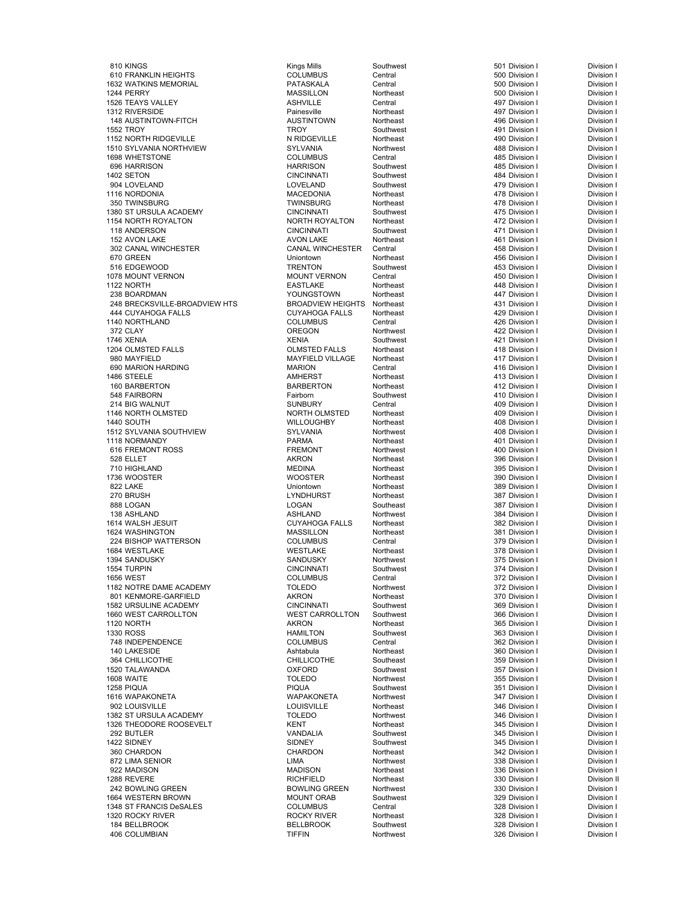810 KINGS Kings Mills Southwest 501 Division I Division I 610 FRANKLIN HEIGHTS COLUMBUS Central 500 Division I Division I 1632 WATKINS MEMORIAL PATASKALA Central 500 Division I Division I 1244 PERRY **1244 PERRY 1244 PERRY** 2001 1244 PERRY 1244 PERRY 1244 PERRY 1264 PERRY 1256 PO Division I 1526 TEAYS VALLEY ASHVILLE Central 497 Division I Division I 1312 RIVERSIDE Painesville Northeast 497 Division I Division I 148 AUSTINTOWN-FITCH AUSTINTOWN Northeast 496 Division I Division I 1552 TROY TROY Southwest 491 Division I Division I er and the Northeast Northeast (1152 Northeast 1152 Northeast 490 Division I Division I Division I Division I<br>1510 SYLVANIA NORTHVIEW 1999 SYLVANIA Northwest 1999 Northeast 488 Division I Division I 1510 SYLVANIA NORTHVIEW SYLVANIA<br>1698 WHETSTONE 1688 OCLUMBUS 1698 WHETSTONE COLUMBUS Central 485 Division I Division I 696 HARRISON HARRISON Southwest 485 Division I Division I 1402 SETON CINCINNATI Southwest 484 Division I Division I 904 LOVELAND LOVELAND Southwest 479 Division I Division I 1116 NORDONIA MACEDONIA Northeast 478 Division I Division I 350 TWINSBURG TWINSBURG Northeast 478 Division I Division I 1380 ST URSULA ACADEMY CINCINNATI Southwest 475 Division I Division I 1154 NORTH ROYALTON NORTH ROYALTON Northeast 472 Division I Division I 118 ANDERSON CINCINNATI Southwest 471 Division I Division I 152 AVON LAKE 152 AVON LAKE 152 AVON LAKE Northeast 152 AVON LAKE 152 AVON LAKE 152 AVON LAKE 153 AVON LAKE 1<br>1992 CANAL WINCHESTER 152 CANAL WINCHESTER Central 1545 AVON LAKE 152 AVON LAKE 152 AVON LAKE 152 AVON LAKE 15 302 CANAL WINCHESTER CANAL WINCHESTER Central 458 Division I Division I 670 GREEN Uniontown Northeast 456 Division I Division I 516 EDGEWOOD TRENTON Southwest 453 Division I Division I 1078 MOUNT VERNON MOUNT VERNON Central 450 Division I Division I 1122 NORTH EASTLAKE Northeast 448 Division I Division I 238 BOARDMAN YOUNGSTOWN Northeast 447 Division I Division I 248 BRECKSVILLE-BROADVIEW HTS BROADVIEW HEIGHTS Northeast 431 Division I Division I 444 CUYAHOGA FALLS CUYAHOGA FALLS Northeast 429 Division I Division I 1140 NORTHLAND COLUMBUS Central 426 Division I Division I 372 CLAY OREGON Northwest 422 Division I Division I 1746 XENIA XENIA Southwest 421 Division I Division I 1204 OLMSTED FALLS OLMSTED FALLS Northeast 418 Division I Division I 690 MARION HARDING MARION MARION Central 1486 STEELE **AMHERST Northeast 1486 STEELE** Division I Division I 160 BARBERTON BARBERTON BARBERTON Northeast 11 And 112 Division I Division I 548 FAIRBORN Fairborn Southwest 410 Division I Division I 214 BIG WALNUT SUNBURY Central 409 Division I Division I 1146 NORTH OLMSTED NORTH OLMSTED Northeast 409 Division I Division I 1440 SOUTH WILLOUGHBY Northeast 408 Division I Division I 1512 SYLVANIA SOUTHVIEW SYLVANIA Northwest 408 Division I Division I 1118 NORMANDY PARMA Northeast 401 Division I Division I er and FREMONT Morthwest 100 Division I Division I Division I Division I Division I Division I Division I Divi<br>528 ELLET Division I Division I Division I Division I Division I Division I Division I 528 ELLET AKRON Northeast 396 Division I Division I 710 HIGHLAND MEDINA Northeast 395 Division I Division I 1736 WOOSTER WOOSTER Northeast 390 Division I Division I 822 LAKE Uniontown Northeast 389 Division I Division I 270 BRUSH LYNDHURST Northeast 387 Division I Division I 888 LOGAN LOGAN Southeast 387 Division I Division I 138 ASHLAND ASHLAND Northwest 384 Division I Division I 1614 WALSH JESUIT CUYAHOGA FALLS Northeast 382 Division I Division I 1624 WASHINGTON MASSILLON MASSILLON MASSILLON NORTHEAST AND MASSILLON I DIVISION I DIVISION I DIVISION I DIVI<br>1924 BISHOP WATTERSON NORTHEAST AND MASSILLON I DIVISION I DIVISION I DIVISION I DIVISION I DIVISION I DIVISIO 224 BISHOP WATTERSON COLUMBUS Central 379 Division I Division I 1684 WESTLAKE WESTLAKE Northeast 378 Division I Division I الكات المستخدم المستخدم المستخدم المستخدم المستخدم المستخدم المستخدم المستخدم المستخدم المستخدم المستخدم المستخ<br>1554 TURPIN المستخدم المستخدم المستخدم المستخدم المستخدم المستخدم المستخدم المستخدم المستخدم المستخدم المستخد 1554 TURPIN CINCINNATI Southwest 374 Division I Division I 1656 WEST COLUMBUS Central 372 Division I Division I 1182 NOTRE DAME ACADEMY TOLEDO Northwest 372 Division I Division I 801 KENMORE-GARFIELD AKRON Northeast 370 Division I Division I 1582 URSULINE ACADEMY CINCINNATI Southwest 369 Division I Division I 1660 WEST CARROLLTON 1660 WEST CARROLLTON Southwest 1966 Division I Division I Division I<br>1120 NORTH Division I Division I Division I 1120 NORTH AKRON Northeast 365 Division I Division I 1330 ROSS HAMILTON Southwest 363 Division I Division I 748 INDEPENDENCE COLUMBUS Central 362 Division I Division I 140 LAKESIDE Ashtabula Northeast 360 Division I Division I 364 CHILLICOTHE CHILLICOTHE Southeast 359 Division I Division I 1520 TALAWANDA OXFORD Southwest 357 Division I Division I 1608 WAITE TOLEDO Northwest 355 Division I Division I 1258 PIQUA PIQUA Southwest 351 Division I Division I 1616 WAPAKONETA WAPAKONETA Northwest 347 Division I Division I edia University of the Louisville Mortheast 1902 LOUISVILLE Division I Division I Division I Division I Division I<br>1982 ST URSULA ACADEMY 1992 TOLEDO Northwest 1982 ST URSION I Division I | 1382 ST URSULA ACADEMY | TOLEDO | Northwest | 346 Division I Division I Division I<br>| 1326 THEODORE ROOSEVELT | KENT | Northeast | 345 Division I Division I 1326 THEODORE ROOSEVELT KENT Northeast 345 Division I Division I 292 BUTLER VANDALIA Southwest 345 Division I Division I 1422 SIDNEY SIDNEY Southwest 345 Division I Division I 360 CHARDON CHARDON Northeast 342 Division I Division I 872 LIMA SENIOR LIMA Northwest 338 Division I Division I 922 MADISON MADISON Northeast 336 Division I Division I 1288 REVERE **RICHFIELD RICHFIELD RICHFIELD** Northeast 230 Division I Division I 242 BOWLING GREEN BOWLING GREEN Northwest 330 Division I Division I 1664 WESTERN BROWN MOUNT ORAB Southwest 329 Division I Division I الكان المسابقة المسابقة التي تتم المسابقة التي يتم المسابقة التي يتم التي يتم التي يتم التي يتم التي يتم التي<br>1320 ROCKY RIVER - ROCKY RIVER - Northeast - 1328 Division I - Division I - Division I 1320 ROCKY RIVER **ROCKY RIVER** ROCKY RIVER Northeast **1328 Division I** Division I 184 BELLBROOK BELLBROOK Southwest 328 Division I Division I 406 COLUMBIAN TIFFIN Northwest 326 Division I Division I

MAYFIELD VILLAGE Northeast 11 May 117 Division I Division I Division I<br>1480 MARION Central 118 Division I Division I